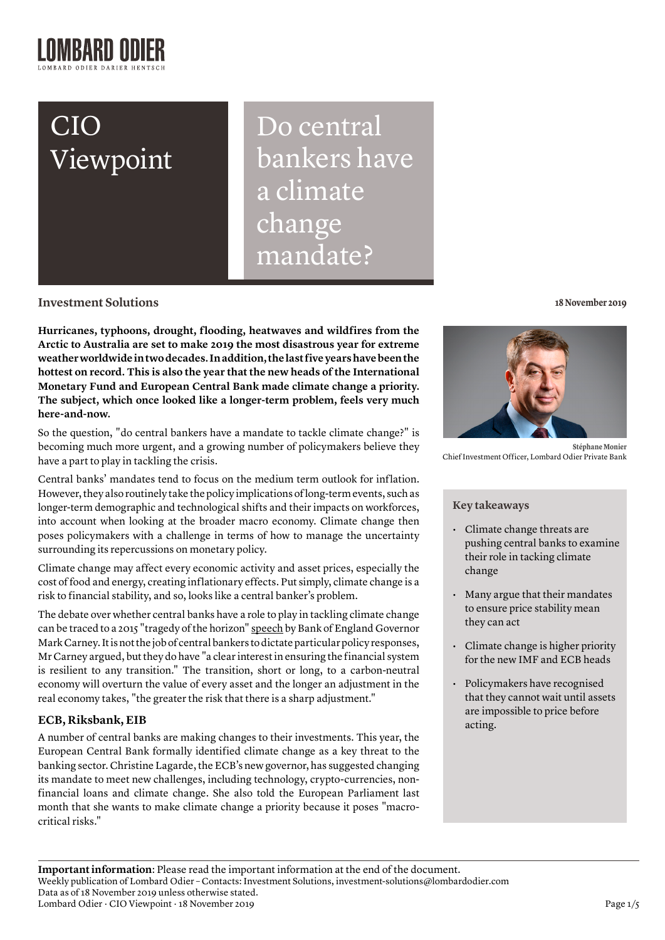# CIO Viewpoint

Do central bankers have a climate change mandate?

**Investment Solutions**

**Hurricanes, typhoons, drought, flooding, heatwaves and wildfires from the Arctic to Australia are set to make 2019 the most disastrous year for extreme weather worldwide in two decades. In addition, the last five years have been the hottest on record. This is also the year that the new heads of the International Monetary Fund and European Central Bank made climate change a priority. The subject, which once looked like a longer-term problem, feels very much here-and-now.**

So the question, "do central bankers have a mandate to tackle climate change?" is becoming much more urgent, and a growing number of policymakers believe they have a part to play in tackling the crisis.

Central banks' mandates tend to focus on the medium term outlook for inflation. However, they also routinely take the policy implications of long-term events, such as longer-term demographic and technological shifts and their impacts on workforces, into account when looking at the broader macro economy. Climate change then poses policymakers with a challenge in terms of how to manage the uncertainty surrounding its repercussions on monetary policy.

Climate change may affect every economic activity and asset prices, especially the cost of food and energy, creating inflationary effects. Put simply, climate change is a risk to financial stability, and so, looks like a central banker's problem.

The debate over whether central banks have a role to play in tackling climate change can be traced to a 2015 "tragedy of the horizon" [speech](https://www.bis.org/review/r151009a.pdf) by Bank of England Governor Mark Carney. It is not the job of central bankers to dictate particular policy responses, Mr Carney argued, but they do have "a clear interest in ensuring the financial system is resilient to any transition." The transition, short or long, to a carbon-neutral economy will overturn the value of every asset and the longer an adjustment in the real economy takes, "the greater the risk that there is a sharp adjustment."

# **ECB, Riksbank, EIB**

A number of central banks are making changes to their investments. This year, the European Central Bank formally [identified](https://www.ecb.europa.eu/ecb/orga/climate/html/index.en.html) climate change as a key threat to the banking sector. Christine Lagarde, the ECB's new governor, has suggested changing its mandate to meet new challenges, including technology, crypto-currencies, nonfinancial loans and climate change. She also told the European Parliament last month that she wants to make climate change a priority because it poses "macrocritical risks."

**18 November 2019**



**Stéphane Monier**  Chief Investment Officer, Lombard Odier Private Bank

# **Key takeaways**

- Climate change threats are pushing central banks to examine their role in tacking climate change
- Many argue that their mandates to ensure price stability mean they can act
- Climate change is higher priority for the new IMF and ECB heads
- Policymakers have recognised that they cannot wait until assets are impossible to price before acting.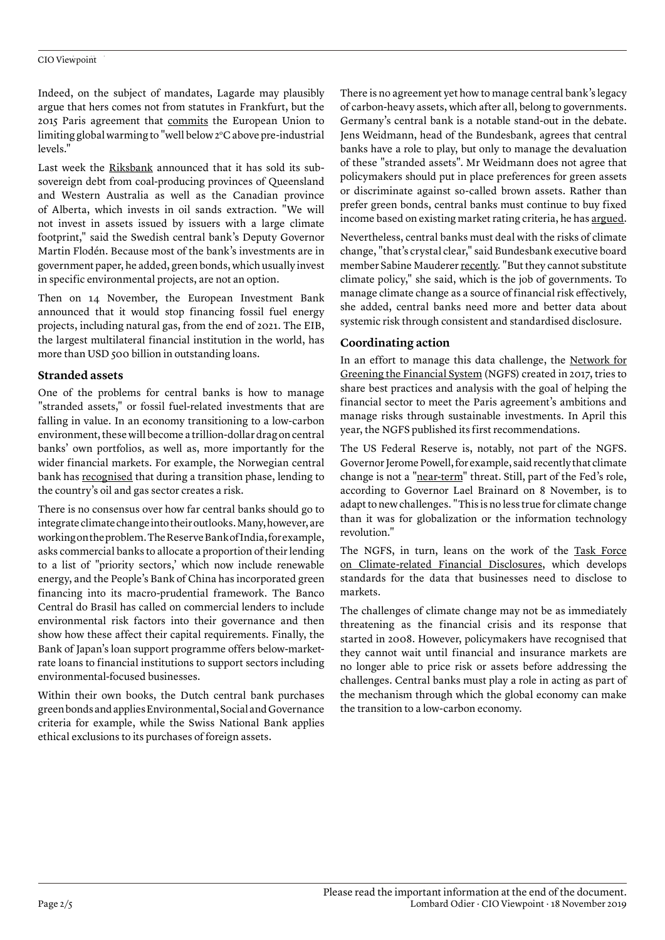#### CIO Viewpoint

Indeed, on the subject of mandates, Lagarde may plausibly argue that hers comes not from statutes in Frankfurt, but the 2015 Paris agreement that [commits](https://ec.europa.eu/clima/policies/international/negotiations/paris_en) the European Union to limiting global warming to "well below 2°C above pre-industrial levels."

Last week the [Riksbank](https://www.riksbank.se/en-gb/press-and-published/speeches-and-presentations/2019/floden-riksbank-selling-bonds-for-climate-reasons/) announced that it has sold its subsovereign debt from coal-producing provinces of Queensland and Western Australia as well as the Canadian province of Alberta, which invests in oil sands extraction. "We will not invest in assets issued by issuers with a large climate footprint," said the Swedish central bank's Deputy Governor Martin Flodén. Because most of the bank's investments are in government paper, he added, green bonds, which usually invest in specific environmental projects, are not an option.

Then on 14 November, the European Investment Bank announced that it would stop financing fossil fuel energy projects, including natural gas, from the end of 2021. The EIB, the largest multilateral financial institution in the world, has more than USD 500 billion in outstanding loans.

# **Stranded assets**

One of the problems for central banks is how to manage "stranded assets," or fossil fuel-related investments that are falling in value. In an economy transitioning to a low-carbon environment, these will become a trillion-dollar drag on central banks' own portfolios, as well as, more importantly for the wider financial markets. For example, the Norwegian central bank has [recognised](https://www.norges-bank.no/en/news-events/news-publications/Speeches/2019/2019-11-08-matsen/) that during a transition phase, lending to the country's oil and gas sector creates a risk.

There is no consensus over how far central banks should go to integrate climate change into their outlooks. Many, however, are working on the problem. The Reserve Bank of India, for example, asks commercial banks to allocate a proportion of their lending to a list of "priority sectors,' which now include renewable energy, and the People's Bank of China has incorporated green financing into its macro-prudential framework. The Banco Central do Brasil has called on commercial lenders to include environmental risk factors into their governance and then show how these affect their capital requirements. Finally, the Bank of Japan's loan support programme offers below-marketrate loans to financial institutions to support sectors including environmental-focused businesses.

Within their own books, the Dutch central bank purchases green bonds and applies Environmental, Social and Governance criteria for example, while the Swiss National Bank applies ethical exclusions to its purchases of foreign assets.

There is no agreement yet how to manage central bank's legacy of carbon-heavy assets, which after all, belong to governments. Germany's central bank is a notable stand-out in the debate. Jens Weidmann, head of the Bundesbank, agrees that central banks have a role to play, but only to manage the devaluation of these "stranded assets". Mr Weidmann does not agree that policymakers should put in place preferences for green assets or discriminate against so-called brown assets. Rather than prefer green bonds, central banks must continue to buy fixed income based on existing market rating criteria, he has [argued.](https://www.ft.com/content/60d9832c-fa3f-11e9-a354-36acbbb0d9b6)

Nevertheless, central banks must deal with the risks of climate change, "that's crystal clear," said Bundesbank executive board member Sabine Mauderer [recently.](https://meetings.imf.org/en/2019/Annual/Schedule/2019/10/16/imf-seminar-climate-change-and-central-banks) "But they cannot substitute climate policy," she said, which is the job of governments. To manage climate change as a source of financial risk effectively, she added, central banks need more and better data about systemic risk through consistent and standardised disclosure.

# **Coordinating action**

In an effort to manage this data challenge, the [Network for](https://www.ngfs.net/en) [Greening the Financial System](https://www.ngfs.net/en) (NGFS) created in 2017, tries to share best practices and analysis with the goal of helping the financial sector to meet the Paris agreement's ambitions and manage risks through sustainable investments. In April this year, the NGFS published its first recommendations.

The US Federal Reserve is, notably, not part of the NGFS. Governor Jerome Powell, for example, said recently that climate change is not a ["near-term](https://www.centralbanking.com/central-banks/financial-stability/4548401/powell-says-fed-is-increasing-work-on-climate-change-risk)" threat. Still, part of the Fed's role, according to Governor Lael Brainard on 8 November, is to adapt to new challenges. "This is no less true for climate change than it was for globalization or the information technology revolution."

The NGFS, in turn, leans on the work of the [Task Force](https://www.fsb-tcfd.org/) [on Climate-related Financial Disclosures,](https://www.fsb-tcfd.org/) which develops standards for the data that businesses need to disclose to markets.

The challenges of climate change may not be as immediately threatening as the financial crisis and its response that started in 2008. However, policymakers have recognised that they cannot wait until financial and insurance markets are no longer able to price risk or assets before addressing the challenges. Central banks must play a role in acting as part of the mechanism through which the global economy can make the transition to a low-carbon economy.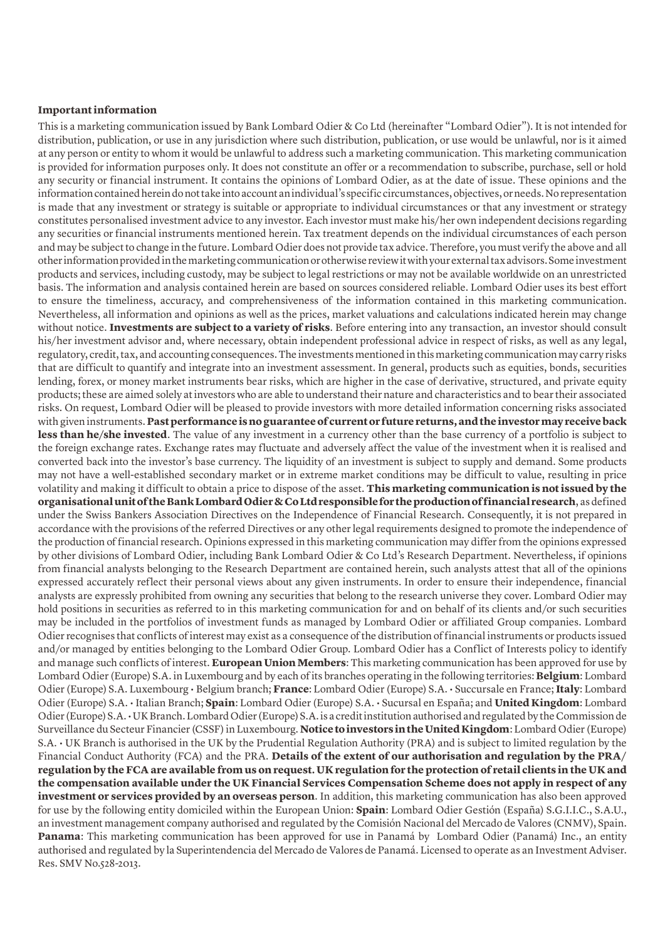# **Important information**

This is a marketing communication issued by Bank Lombard Odier & Co Ltd (hereinafter "Lombard Odier"). It is not intended for distribution, publication, or use in any jurisdiction where such distribution, publication, or use would be unlawful, nor is it aimed at any person or entity to whom it would be unlawful to address such a marketing communication. This marketing communication is provided for information purposes only. It does not constitute an offer or a recommendation to subscribe, purchase, sell or hold any security or financial instrument. It contains the opinions of Lombard Odier, as at the date of issue. These opinions and the information contained herein do not take into account an individual's specific circumstances, objectives, or needs. No representation is made that any investment or strategy is suitable or appropriate to individual circumstances or that any investment or strategy constitutes personalised investment advice to any investor. Each investor must make his/her own independent decisions regarding any securities or financial instruments mentioned herein. Tax treatment depends on the individual circumstances of each person and may be subject to change in the future. Lombard Odier does not provide tax advice. Therefore, you must verify the above and all other information provided in the marketing communication or otherwise review it with your external tax advisors. Some investment products and services, including custody, may be subject to legal restrictions or may not be available worldwide on an unrestricted basis. The information and analysis contained herein are based on sources considered reliable. Lombard Odier uses its best effort to ensure the timeliness, accuracy, and comprehensiveness of the information contained in this marketing communication. Nevertheless, all information and opinions as well as the prices, market valuations and calculations indicated herein may change without notice. **Investments are subject to a variety of risks**. Before entering into any transaction, an investor should consult his/her investment advisor and, where necessary, obtain independent professional advice in respect of risks, as well as any legal, regulatory, credit, tax, and accounting consequences. The investments mentioned in this marketing communication may carry risks that are difficult to quantify and integrate into an investment assessment. In general, products such as equities, bonds, securities lending, forex, or money market instruments bear risks, which are higher in the case of derivative, structured, and private equity products; these are aimed solely at investors who are able to understand their nature and characteristics and to bear their associated risks. On request, Lombard Odier will be pleased to provide investors with more detailed information concerning risks associated with given instruments. **Past performance is no guarantee of current or future returns, and the investor may receive back less than he/she invested**. The value of any investment in a currency other than the base currency of a portfolio is subject to the foreign exchange rates. Exchange rates may fluctuate and adversely affect the value of the investment when it is realised and converted back into the investor's base currency. The liquidity of an investment is subject to supply and demand. Some products may not have a well-established secondary market or in extreme market conditions may be difficult to value, resulting in price volatility and making it difficult to obtain a price to dispose of the asset. **This marketing communication is not issued by the organisational unit of the Bank Lombard Odier & Co Ltd responsible for the production of financial research**, as defined under the Swiss Bankers Association Directives on the Independence of Financial Research. Consequently, it is not prepared in accordance with the provisions of the referred Directives or any other legal requirements designed to promote the independence of the production of financial research. Opinions expressed in this marketing communication may differ from the opinions expressed by other divisions of Lombard Odier, including Bank Lombard Odier & Co Ltd's Research Department. Nevertheless, if opinions from financial analysts belonging to the Research Department are contained herein, such analysts attest that all of the opinions expressed accurately reflect their personal views about any given instruments. In order to ensure their independence, financial analysts are expressly prohibited from owning any securities that belong to the research universe they cover. Lombard Odier may hold positions in securities as referred to in this marketing communication for and on behalf of its clients and/or such securities may be included in the portfolios of investment funds as managed by Lombard Odier or affiliated Group companies. Lombard Odier recognises that conflicts of interest may exist as a consequence of the distribution of financial instruments or products issued and/or managed by entities belonging to the Lombard Odier Group. Lombard Odier has a Conflict of Interests policy to identify and manage such conflicts of interest. **European Union Members**: This marketing communication has been approved for use by Lombard Odier (Europe) S.A. in Luxembourg and by each of its branches operating in the following territories: **Belgium**: Lombard Odier (Europe) S.A. Luxembourg • Belgium branch; **France**: Lombard Odier (Europe) S.A. • Succursale en France; **Italy**: Lombard Odier (Europe) S.A. • Italian Branch; **Spain**: Lombard Odier (Europe) S.A. • Sucursal en España; and **United Kingdom**: Lombard Odier (Europe) S.A. • UK Branch. Lombard Odier (Europe) S.A. is a credit institution authorised and regulated by the Commission de Surveillance du Secteur Financier (CSSF) in Luxembourg. **Notice to investors in the United Kingdom**: Lombard Odier (Europe) S.A. • UK Branch is authorised in the UK by the Prudential Regulation Authority (PRA) and is subject to limited regulation by the Financial Conduct Authority (FCA) and the PRA. **Details of the extent of our authorisation and regulation by the PRA/ regulation by the FCA are available from us on request. UK regulation for the protection of retail clients in the UK and the compensation available under the UK Financial Services Compensation Scheme does not apply in respect of any investment or services provided by an overseas person**. In addition, this marketing communication has also been approved for use by the following entity domiciled within the European Union: **Spain**: Lombard Odier Gestión (España) S.G.I.I.C., S.A.U., an investment management company authorised and regulated by the Comisión Nacional del Mercado de Valores (CNMV), Spain. **Panama**: This marketing communication has been approved for use in Panamá by Lombard Odier (Panamá) Inc., an entity authorised and regulated by la Superintendencia del Mercado de Valores de Panamá. Licensed to operate as an Investment Adviser. Res. SMV No.528-2013.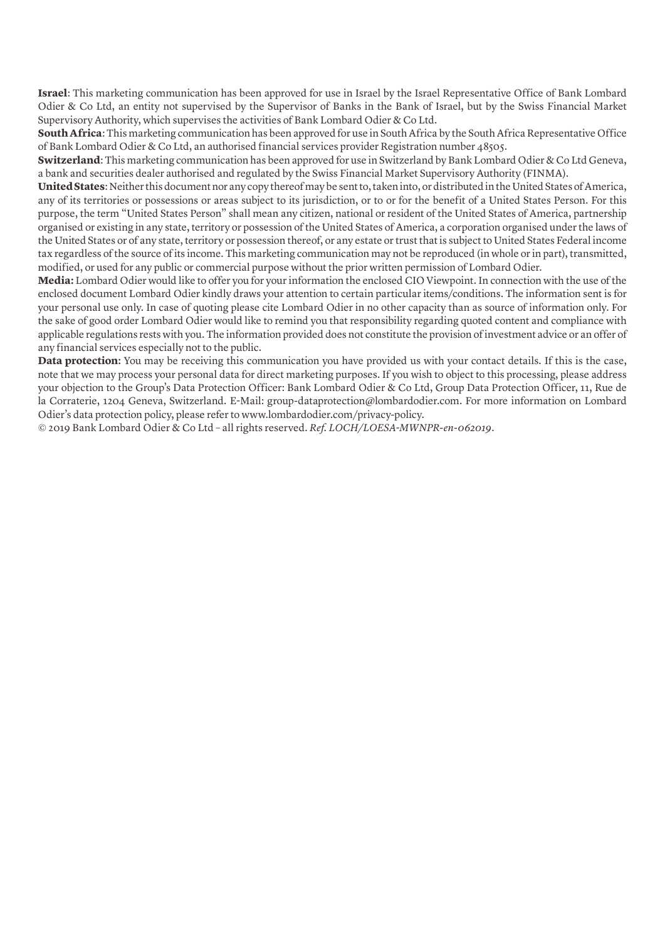**Israel**: This marketing communication has been approved for use in Israel by the Israel Representative Office of Bank Lombard Odier & Co Ltd, an entity not supervised by the Supervisor of Banks in the Bank of Israel, but by the Swiss Financial Market Supervisory Authority, which supervises the activities of Bank Lombard Odier & Co Ltd.

**South Africa**: This marketing communication has been approved for use in South Africa by the South Africa Representative Office of Bank Lombard Odier & Co Ltd, an authorised financial services provider Registration number 48505.

**Switzerland**: This marketing communication has been approved for use in Switzerland by Bank Lombard Odier & Co Ltd Geneva, a bank and securities dealer authorised and regulated by the Swiss Financial Market Supervisory Authority (FINMA).

**United States**: Neither this document nor any copy thereof may be sent to, taken into, or distributed in the United States of America, any of its territories or possessions or areas subject to its jurisdiction, or to or for the benefit of a United States Person. For this purpose, the term "United States Person" shall mean any citizen, national or resident of the United States of America, partnership organised or existing in any state, territory or possession of the United States of America, a corporation organised under the laws of the United States or of any state, territory or possession thereof, or any estate or trust that is subject to United States Federal income tax regardless of the source of its income. This marketing communication may not be reproduced (in whole or in part), transmitted, modified, or used for any public or commercial purpose without the prior written permission of Lombard Odier.

**Media:** Lombard Odier would like to offer you for your information the enclosed CIO Viewpoint. In connection with the use of the enclosed document Lombard Odier kindly draws your attention to certain particular items/conditions. The information sent is for your personal use only. In case of quoting please cite Lombard Odier in no other capacity than as source of information only. For the sake of good order Lombard Odier would like to remind you that responsibility regarding quoted content and compliance with applicable regulations rests with you. The information provided does not constitute the provision of investment advice or an offer of any financial services especially not to the public.

**Data protection:** You may be receiving this communication you have provided us with your contact details. If this is the case, note that we may process your personal data for direct marketing purposes. If you wish to object to this processing, please address your objection to the Group's Data Protection Officer: Bank Lombard Odier & Co Ltd, Group Data Protection Officer, 11, Rue de la Corraterie, 1204 Geneva, Switzerland. E-Mail: group-dataprotection@lombardodier.com. For more information on Lombard Odier's data protection policy, please refer to www.lombardodier.com/privacy-policy.

© 2019 Bank Lombard Odier & Co Ltd – all rights reserved. *Ref. LOCH/LOESA-MWNPR-en-062019*.